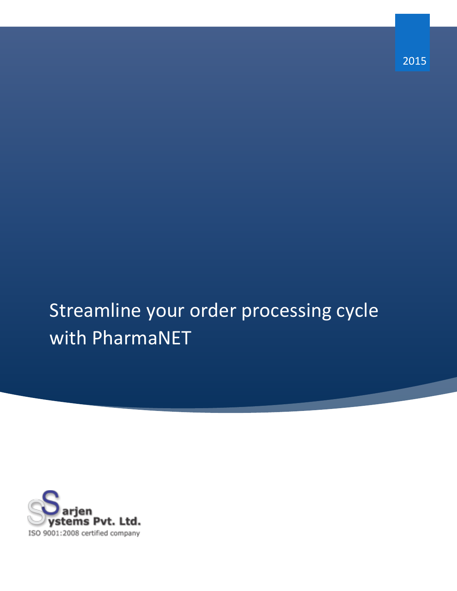Streamline your order processing cycle with PharmaNET

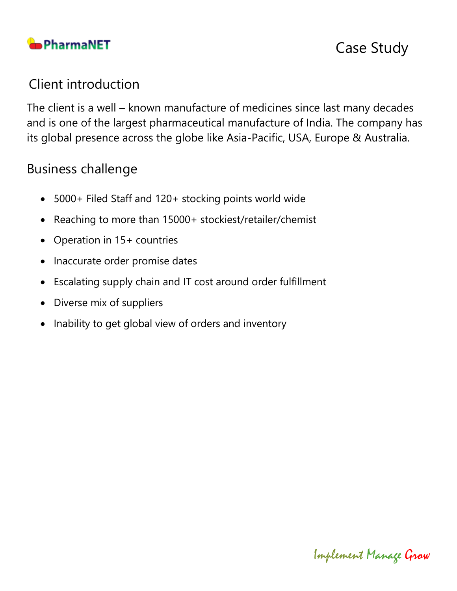

## Client introduction

The client is a well – known manufacture of medicines since last many decades and is one of the largest pharmaceutical manufacture of India. The company has its global presence across the globe like Asia-Pacific, USA, Europe & Australia.

## Business challenge

- 5000+ Filed Staff and 120+ stocking points world wide
- Reaching to more than 15000+ stockiest/retailer/chemist
- Operation in 15+ countries
- Inaccurate order promise dates
- Escalating supply chain and IT cost around order fulfillment
- Diverse mix of suppliers
- Inability to get global view of orders and inventory

Implement Manage Grow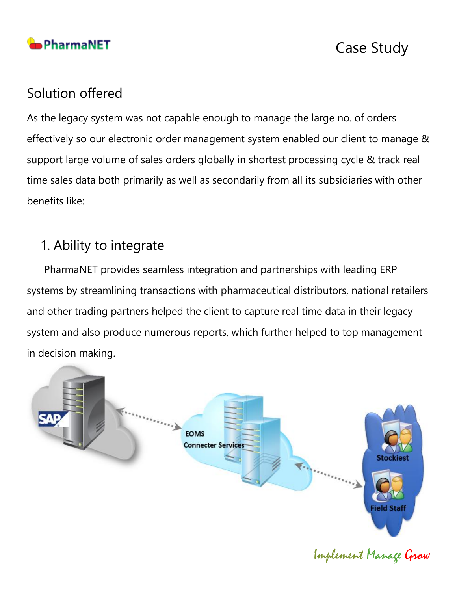

### Solution offered

As the legacy system was not capable enough to manage the large no. of orders effectively so our electronic order management system enabled our client to manage & support large volume of sales orders globally in shortest processing cycle & track real time sales data both primarily as well as secondarily from all its subsidiaries with other benefits like:

## 1. Ability to integrate

 PharmaNET provides seamless integration and partnerships with leading ERP systems by streamlining transactions with pharmaceutical distributors, national retailers and other trading partners helped the client to capture real time data in their legacy system and also produce numerous reports, which further helped to top management in decision making.

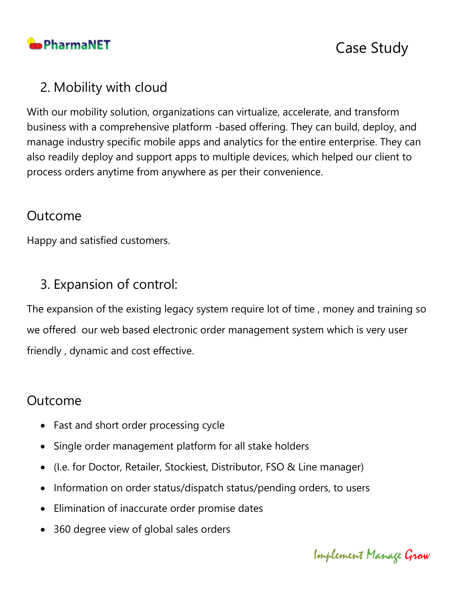

## 2. Mobility with cloud

With our mobility solution, organizations can virtualize, accelerate, and transform business with a comprehensive platform -based offering. They can build, deploy, and manage industry specific mobile apps and analytics for the entire enterprise. They can also readily deploy and support apps to multiple devices, which helped our client to process orders anytime from anywhere as per their convenience.

### Outcome

Happy and satisfied customers.

# 3. Expansion of control:

The expansion of the existing legacy system require lot of time , money and training so we offered our web based electronic order management system which is very user friendly , dynamic and cost effective.

### Outcome

- Fast and short order processing cycle
- Single order management platform for all stake holders
- (I.e. for Doctor, Retailer, Stockiest, Distributor, FSO & Line manager)
- Information on order status/dispatch status/pending orders, to users
- Elimination of inaccurate order promise dates
- 360 degree view of global sales orders

Implement Manage Grow